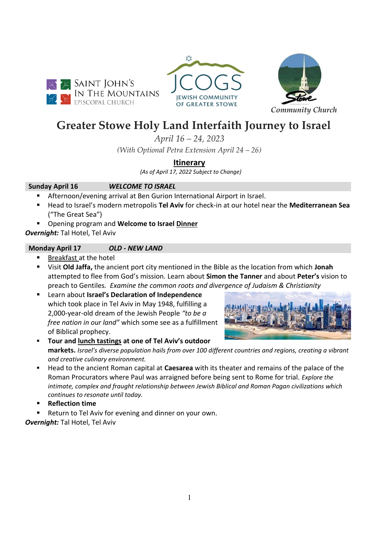





# **Greater Stowe Holy Land Interfaith Journey to Israel**

*April 16 – 24, 2023*

*(With Optional Petra Extension April 24 – 26)*

# **Itinerary**

 *(As of April 17, 2022 Subject to Change)* 

# **Sunday April 16** *WELCOME TO ISRAEL*

- Afternoon/evening arrival at Ben Gurion International Airport in Israel.
- Head to Israel's modern metropolis **Tel Aviv** for check-in at our hotel near the **Mediterranean Sea** ("The Great Sea")
- Opening program and **Welcome to Israel Dinner**

*Overnight:* Tal Hotel, Tel Aviv

# **Monday April 17** *OLD - NEW LAND*

- Breakfast at the hotel
- Visit **Old Jaffa,** the ancient port city mentioned in the Bible as the location from which **Jonah** attempted to flee from God's mission*.* Learn about **Simon the Tanner** and about **Peter's** vision to preach to Gentiles*. Examine the common roots and divergence of Judaism & Christianity*
- Learn about **Israel's Declaration of Independence** which took place in Tel Aviv in May 1948, fulfilling a 2,000-year-old dream of the Jewish People *"to be a free nation in our land"* which some see as a fulfillment of Biblical prophecy.



- **Tour and lunch tastings at one of Tel Aviv's outdoor markets.** *Israel's diverse population hails from over 100 different countries and regions, creating a vibrant and creative culinary environment.*
- Head to the ancient Roman capital at **Caesarea** with its theater and remains of the palace of the Roman Procurators where Paul was arraigned before being sent to Rome for trial. *Explore the intimate, complex and fraught relationship between Jewish Biblical and Roman Pagan civilizations which continues to resonate until today.*
- **Reflection time**
- Return to Tel Aviv for evening and dinner on your own.

*Overnight:* Tal Hotel, Tel Aviv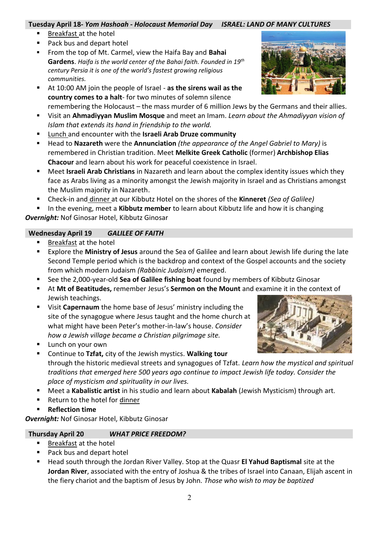### **Tuesday April 18***- Yom Hashoah - Holocaust Memorial Day ISRAEL: LAND OF MANY CULTURES*

- Breakfast at the hotel
- Pack bus and depart hotel
- From the top of Mt. Carmel, view the Haifa Bay and **Bahai Gardens**. *Haifa is the world center of the Bahai faith. Founded in 19th century Persia it is one of the world's fastest growing religious communities.*
- At 10:00 AM join the people of Israel as the sirens wail as the **country comes to a halt**- for two minutes of solemn silence remembering the Holocaust – the mass murder of 6 million Jews by the Germans and their allies.
- Visit an **Ahmadiyyan Muslim Mosque** and meet an Imam. *Learn about the Ahmadiyyan vision of Islam that extends its hand in friendship to the world.*
- Lunch and encounter with the **Israeli Arab Druze community**
- Head to **Nazareth** were the **Annunciation** *(the appearance of the Angel Gabriel to Mary)* is remembered in Christian tradition. Meet **Melkite Greek Catholic** (former) **Archbishop Elias Chacour** and learn about his work for peaceful coexistence in Israel.
- Meet Israeli Arab Christians in Nazareth and learn about the complex identity issues which they face as Arabs living as a minority amongst the Jewish majority in Israel and as Christians amongst the Muslim majority in Nazareth.
- Check-in and dinner at our Kibbutz Hotel on the shores of the **Kinneret** *(Sea of Galilee)*
- In the evening, meet a **Kibbutz member** to learn about Kibbutz life and how it is changing *Overnight:* Nof Ginosar Hotel, Kibbutz Ginosar

# **Wednesday April 19** *GALILEE OF FAITH*

- **Example 1** Breakfast at the hotel
- Explore the **Ministry of Jesus** around the Sea of Galilee and learn about Jewish life during the late Second Temple period which is the backdrop and context of the Gospel accounts and the society from which modern Judaism *(Rabbinic Judaism)* emerged.
- See the 2,000-year-old **Sea of Galilee fishing boat** found by members of Kibbutz Ginosar
- At **Mt of Beatitudes,** remember Jesus's **Sermon on the Mount** and examine it in the context of Jewish teachings.
- Visit **Capernaum** the home base of Jesus' ministry including the site of the synagogue where Jesus taught and the home church at what might have been Peter's mother-in-law's house. *Consider how a Jewish village became a Christian pilgrimage site.*
- Lunch on your own
- Continue to **Tzfat,** city of the Jewish mystics. Walking tour through the historic medieval streets and synagogues of Tzfat. *Learn how the mystical and spiritual traditions that emerged here 500 years ago continue to impact Jewish life today. Consider the place of mysticism and spirituality in our lives.*
- Meet a Kabalistic artist in his studio and learn about Kabalah (Jewish Mysticism) through art.
- Return to the hotel for dinner
- **Reflection time**

*Overnight:* Nof Ginosar Hotel, Kibbutz Ginosar

## **Thursday April 20** *WHAT PRICE FREEDOM?*

- Breakfast at the hotel
- Pack bus and depart hotel
- Head south through the Jordan River Valley. Stop at the Quasr **El Yahud Baptismal** site at the **Jordan River**, associated with the entry of Joshua & the tribes of Israel into Canaan, Elijah ascent in the fiery chariot and the baptism of Jesus by John. *Those who wish to may be baptized*



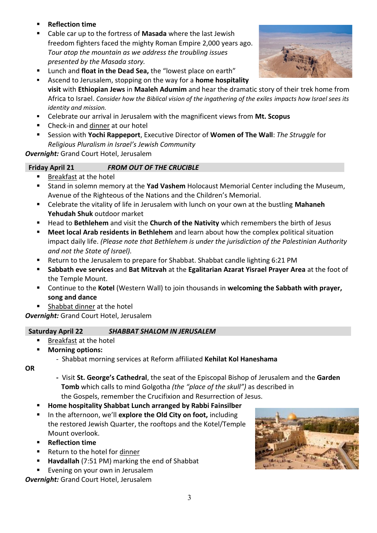- **Reflection time**
- Cable car up to the fortress of **Masada** where the last Jewish freedom fighters faced the mighty Roman Empire 2,000 years ago. *Tour atop the mountain as we address the troubling issues presented by the Masada story.*
- Lunch and **float in the Dead Sea,** the "lowest place on earth"
- Ascend to Jerusalem, stopping on the way for a **home hospitality visit** with **Ethiopian Jews** in **Maaleh Adumim** and hear the dramatic story of their trek home from Africa to Israel. *Consider how the Biblical vision of the ingathering of the exiles impacts how Israel sees its identity and mission.*
- Celebrate our arrival in Jerusalem with the magnificent views from **Mt. Scopus**
- Check-in and dinner at our hotel
- Session with **Yochi Rappeport**, Executive Director of **Women of The Wall**: *The Struggle* for *Religious Pluralism in Israel's Jewish Community*

*Overnight:* Grand Court Hotel, Jerusalem

## **Friday April 21** *FROM OUT OF THE CRUCIBLE*

- Breakfast at the hotel
- **E** Stand in solemn memory at the Yad Vashem Holocaust Memorial Center including the Museum, Avenue of the Righteous of the Nations and the Children's Memorial.
- Celebrate the vitality of life in Jerusalem with lunch on your own at the bustling Mahaneh **Yehudah Shuk** outdoor market
- Head to **Bethlehem** and visit the **Church of the Nativity** which remembers the birth of Jesus
- **Meet local Arab residents in Bethlehem** and learn about how the complex political situation impact daily life. *(Please note that Bethlehem is under the jurisdiction of the Palestinian Authority and not the State of Israel).*
- Return to the Jerusalem to prepare for Shabbat. Shabbat candle lighting 6:21 PM
- **Sabbath eve services** and **Bat Mitzvah** at the **Egalitarian Azarat Yisrael Prayer Area** at the foot of the Temple Mount.
- Continue to the Kotel (Western Wall) to join thousands in welcoming the Sabbath with prayer, **song and dance**
- Shabbat dinner at the hotel

*Overnight:* Grand Court Hotel, Jerusalem

## **Saturday April 22** *SHABBAT SHALOM IN JERUSALEM*

- **Breakfast at the hotel**
- **Morning options:**
	- Shabbat morning services at Reform affiliated **Kehilat Kol Haneshama**
- **OR**
- **-** Visit **St. George's Cathedral**, the seat of the Episcopal Bishop of Jerusalem and the **Garden Tomb** which calls to mind Golgotha *(the "place of the skull")* as described in the Gospels, remember the Crucifixion and Resurrection of Jesus.
- **Home hospitality Shabbat Lunch arranged by Rabbi Fainsilber**
- In the afternoon, we'll explore the Old City on foot, including the restored Jewish Quarter, the rooftops and the Kotel/Temple Mount overlook.
- **Reflection time**
- Return to the hotel for dinner
- **Havdallah** (7:51 PM) marking the end of Shabbat
- Evening on your own in Jerusalem

*Overnight:* Grand Court Hotel, Jerusalem



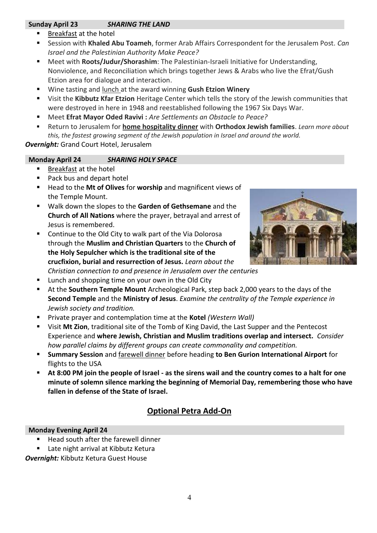# **Sunday April 23** *SHARING THE LAND*

- Breakfast at the hotel
- Session with Khaled Abu Toameh, former Arab Affairs Correspondent for the Jerusalem Post. *Can Israel and the Palestinian Authority Make Peace?*
- Meet with **Roots/Judur/Shorashim**: The Palestinian-Israeli Initiative for Understanding, Nonviolence, and Reconciliation which brings together Jews & Arabs who live the Efrat/Gush Etzion area for dialogue and interaction.
- Wine tasting and lunch at the award winning Gush Etzion Winery
- Visit the Kibbutz Kfar Etzion Heritage Center which tells the story of the Jewish communities that were destroyed in here in 1948 and reestablished following the 1967 Six Days War.
- Meet **Efrat Mayor Oded Ravivi** : *Are Settlements an Obstacle to Peace?*
- Return to Jerusalem for **home hospitality dinner** with **Orthodox Jewish families**. *Learn more about this, the fastest growing segment of the Jewish population in Israel and around the world.*

*Overnight:* Grand Court Hotel, Jerusalem

# **Monday April 24** *SHARING HOLY SPACE*

- Breakfast at the hotel
- Pack bus and depart hotel
- Head to the Mt of Olives for worship and magnificent views of the Temple Mount.
- Walk down the slopes to the **Garden of Gethsemane** and the **Church of All Nations** where the prayer, betrayal and arrest of Jesus is remembered.
- Continue to the Old City to walk part of the Via Dolorosa through the **Muslim and Christian Quarters** to the **Church of the Holy Sepulcher which is the traditional site of the crucfixion, burial and resurrection of Jesus.** *Learn about the Christian connection to and presence in Jerusalem over the centuries*
- Lunch and shopping time on your own in the Old City
- At the **Southern Temple Mount** Archeological Park, step back 2,000 years to the days of the **Second Temple** and the **Ministry of Jesus**. *Examine the centrality of the Temple experience in Jewish society and tradition.*
- Private prayer and contemplation time at the **Kotel** *(Western Wall)*
- Visit **Mt Zion**, traditional site of the Tomb of King David, the Last Supper and the Pentecost Experience and **where Jewish, Christian and Muslim traditions overlap and intersect.** *Consider how parallel claims by different groups can create commonality and competition.*
- **Summary Session** and farewell dinner before heading **to Ben Gurion International Airport** for flights to the USA
- **At 8:00 PM join the people of Israel - as the sirens wail and the country comes to a halt for one minute of solemn silence marking the beginning of Memorial Day, remembering those who have fallen in defense of the State of Israel.**

# **Optional Petra Add-On**

# **Monday Evening April 24**

Head south after the farewell dinner

■ Late night arrival at Kibbutz Ketura *Overnight:* Kibbutz Ketura Guest House